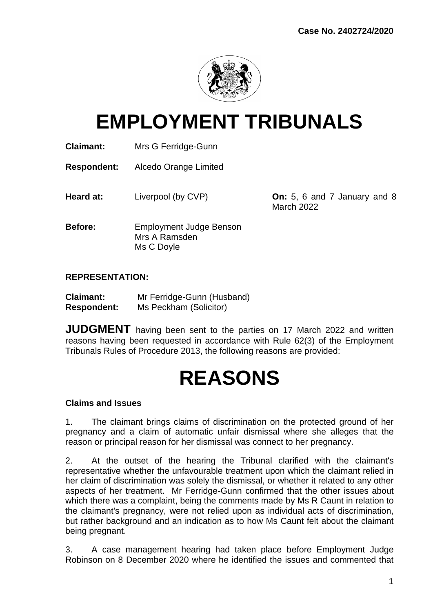

# **EMPLOYMENT TRIBUNALS**

**Claimant:** Mrs G Ferridge-Gunn

**Respondent:** Alcedo Orange Limited

**Heard at:** Liverpool (by CVP) **On:** 5, 6 and 7 January and 8

March 2022

**Before:** Employment Judge Benson Mrs A Ramsden Ms C Doyle

# **REPRESENTATION:**

| <b>Claimant:</b>   | Mr Ferridge-Gunn (Husband) |
|--------------------|----------------------------|
| <b>Respondent:</b> | Ms Peckham (Solicitor)     |

**JUDGMENT** having been sent to the parties on 17 March 2022 and written reasons having been requested in accordance with Rule 62(3) of the Employment Tribunals Rules of Procedure 2013, the following reasons are provided:

# **REASONS**

#### **Claims and Issues**

1. The claimant brings claims of discrimination on the protected ground of her pregnancy and a claim of automatic unfair dismissal where she alleges that the reason or principal reason for her dismissal was connect to her pregnancy.

2. At the outset of the hearing the Tribunal clarified with the claimant's representative whether the unfavourable treatment upon which the claimant relied in her claim of discrimination was solely the dismissal, or whether it related to any other aspects of her treatment. Mr Ferridge-Gunn confirmed that the other issues about which there was a complaint, being the comments made by Ms R Caunt in relation to the claimant's pregnancy, were not relied upon as individual acts of discrimination, but rather background and an indication as to how Ms Caunt felt about the claimant being pregnant.

3. A case management hearing had taken place before Employment Judge Robinson on 8 December 2020 where he identified the issues and commented that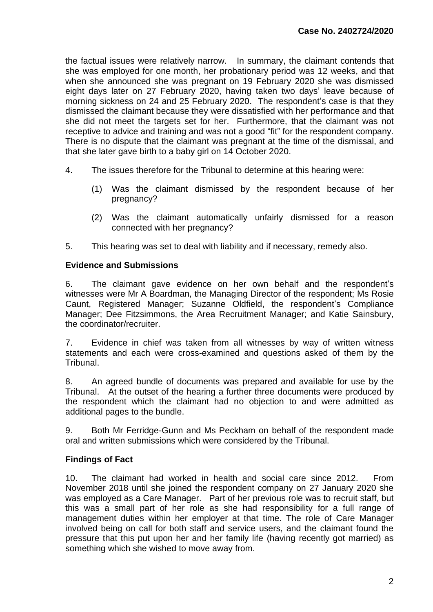the factual issues were relatively narrow. In summary, the claimant contends that she was employed for one month, her probationary period was 12 weeks, and that when she announced she was pregnant on 19 February 2020 she was dismissed eight days later on 27 February 2020, having taken two days' leave because of morning sickness on 24 and 25 February 2020. The respondent's case is that they dismissed the claimant because they were dissatisfied with her performance and that she did not meet the targets set for her. Furthermore, that the claimant was not receptive to advice and training and was not a good "fit" for the respondent company. There is no dispute that the claimant was pregnant at the time of the dismissal, and that she later gave birth to a baby girl on 14 October 2020.

- 4. The issues therefore for the Tribunal to determine at this hearing were:
	- (1) Was the claimant dismissed by the respondent because of her pregnancy?
	- (2) Was the claimant automatically unfairly dismissed for a reason connected with her pregnancy?
- 5. This hearing was set to deal with liability and if necessary, remedy also.

### **Evidence and Submissions**

6. The claimant gave evidence on her own behalf and the respondent's witnesses were Mr A Boardman, the Managing Director of the respondent; Ms Rosie Caunt, Registered Manager; Suzanne Oldfield, the respondent's Compliance Manager; Dee Fitzsimmons, the Area Recruitment Manager; and Katie Sainsbury, the coordinator/recruiter.

7. Evidence in chief was taken from all witnesses by way of written witness statements and each were cross-examined and questions asked of them by the Tribunal.

8. An agreed bundle of documents was prepared and available for use by the Tribunal. At the outset of the hearing a further three documents were produced by the respondent which the claimant had no objection to and were admitted as additional pages to the bundle.

9. Both Mr Ferridge-Gunn and Ms Peckham on behalf of the respondent made oral and written submissions which were considered by the Tribunal.

# **Findings of Fact**

10. The claimant had worked in health and social care since 2012. From November 2018 until she joined the respondent company on 27 January 2020 she was employed as a Care Manager. Part of her previous role was to recruit staff, but this was a small part of her role as she had responsibility for a full range of management duties within her employer at that time. The role of Care Manager involved being on call for both staff and service users, and the claimant found the pressure that this put upon her and her family life (having recently got married) as something which she wished to move away from.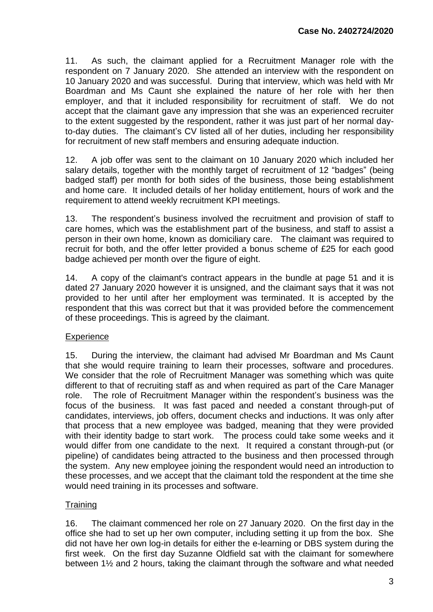11. As such, the claimant applied for a Recruitment Manager role with the respondent on 7 January 2020. She attended an interview with the respondent on 10 January 2020 and was successful. During that interview, which was held with Mr Boardman and Ms Caunt she explained the nature of her role with her then employer, and that it included responsibility for recruitment of staff. We do not accept that the claimant gave any impression that she was an experienced recruiter to the extent suggested by the respondent, rather it was just part of her normal dayto-day duties. The claimant's CV listed all of her duties, including her responsibility for recruitment of new staff members and ensuring adequate induction.

12. A job offer was sent to the claimant on 10 January 2020 which included her salary details, together with the monthly target of recruitment of 12 "badges" (being badged staff) per month for both sides of the business, those being establishment and home care. It included details of her holiday entitlement, hours of work and the requirement to attend weekly recruitment KPI meetings.

13. The respondent's business involved the recruitment and provision of staff to care homes, which was the establishment part of the business, and staff to assist a person in their own home, known as domiciliary care. The claimant was required to recruit for both, and the offer letter provided a bonus scheme of £25 for each good badge achieved per month over the figure of eight.

14. A copy of the claimant's contract appears in the bundle at page 51 and it is dated 27 January 2020 however it is unsigned, and the claimant says that it was not provided to her until after her employment was terminated. It is accepted by the respondent that this was correct but that it was provided before the commencement of these proceedings. This is agreed by the claimant.

### **Experience**

15. During the interview, the claimant had advised Mr Boardman and Ms Caunt that she would require training to learn their processes, software and procedures. We consider that the role of Recruitment Manager was something which was quite different to that of recruiting staff as and when required as part of the Care Manager role. The role of Recruitment Manager within the respondent's business was the focus of the business. It was fast paced and needed a constant through-put of candidates, interviews, job offers, document checks and inductions. It was only after that process that a new employee was badged, meaning that they were provided with their identity badge to start work. The process could take some weeks and it would differ from one candidate to the next. It required a constant through-put (or pipeline) of candidates being attracted to the business and then processed through the system. Any new employee joining the respondent would need an introduction to these processes, and we accept that the claimant told the respondent at the time she would need training in its processes and software.

### **Training**

16. The claimant commenced her role on 27 January 2020. On the first day in the office she had to set up her own computer, including setting it up from the box. She did not have her own log-in details for either the e-learning or DBS system during the first week. On the first day Suzanne Oldfield sat with the claimant for somewhere between 1½ and 2 hours, taking the claimant through the software and what needed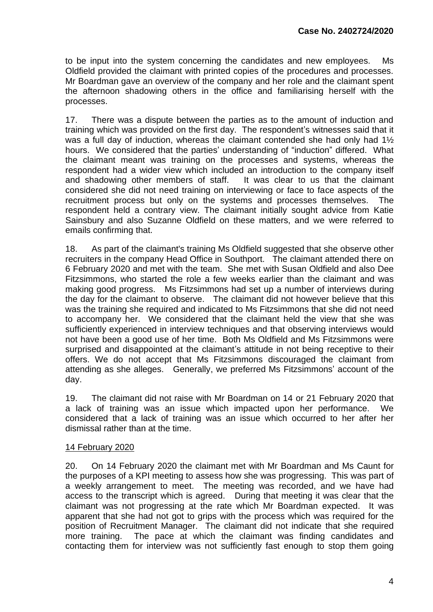to be input into the system concerning the candidates and new employees. Ms Oldfield provided the claimant with printed copies of the procedures and processes. Mr Boardman gave an overview of the company and her role and the claimant spent the afternoon shadowing others in the office and familiarising herself with the processes.

17. There was a dispute between the parties as to the amount of induction and training which was provided on the first day. The respondent's witnesses said that it was a full day of induction, whereas the claimant contended she had only had 1<sup>1/2</sup> hours. We considered that the parties' understanding of "induction" differed. What the claimant meant was training on the processes and systems, whereas the respondent had a wider view which included an introduction to the company itself and shadowing other members of staff. It was clear to us that the claimant considered she did not need training on interviewing or face to face aspects of the recruitment process but only on the systems and processes themselves. The respondent held a contrary view. The claimant initially sought advice from Katie Sainsbury and also Suzanne Oldfield on these matters, and we were referred to emails confirming that.

18. As part of the claimant's training Ms Oldfield suggested that she observe other recruiters in the company Head Office in Southport. The claimant attended there on 6 February 2020 and met with the team. She met with Susan Oldfield and also Dee Fitzsimmons, who started the role a few weeks earlier than the claimant and was making good progress. Ms Fitzsimmons had set up a number of interviews during the day for the claimant to observe. The claimant did not however believe that this was the training she required and indicated to Ms Fitzsimmons that she did not need to accompany her. We considered that the claimant held the view that she was sufficiently experienced in interview techniques and that observing interviews would not have been a good use of her time. Both Ms Oldfield and Ms Fitzsimmons were surprised and disappointed at the claimant's attitude in not being receptive to their offers. We do not accept that Ms Fitzsimmons discouraged the claimant from attending as she alleges. Generally, we preferred Ms Fitzsimmons' account of the day.

19. The claimant did not raise with Mr Boardman on 14 or 21 February 2020 that a lack of training was an issue which impacted upon her performance. We considered that a lack of training was an issue which occurred to her after her dismissal rather than at the time.

## 14 February 2020

20. On 14 February 2020 the claimant met with Mr Boardman and Ms Caunt for the purposes of a KPI meeting to assess how she was progressing. This was part of a weekly arrangement to meet. The meeting was recorded, and we have had access to the transcript which is agreed. During that meeting it was clear that the claimant was not progressing at the rate which Mr Boardman expected. It was apparent that she had not got to grips with the process which was required for the position of Recruitment Manager. The claimant did not indicate that she required more training. The pace at which the claimant was finding candidates and contacting them for interview was not sufficiently fast enough to stop them going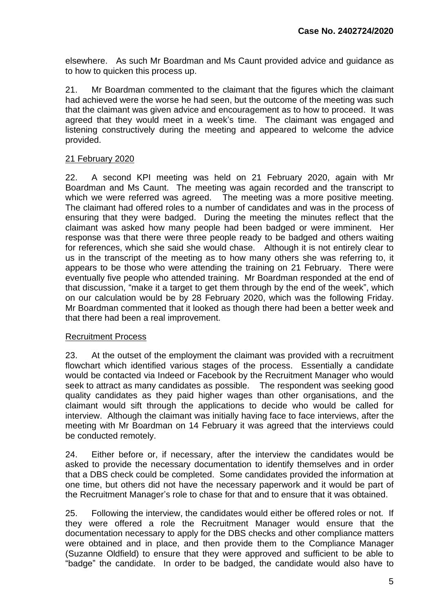elsewhere. As such Mr Boardman and Ms Caunt provided advice and guidance as to how to quicken this process up.

21. Mr Boardman commented to the claimant that the figures which the claimant had achieved were the worse he had seen, but the outcome of the meeting was such that the claimant was given advice and encouragement as to how to proceed. It was agreed that they would meet in a week's time. The claimant was engaged and listening constructively during the meeting and appeared to welcome the advice provided.

### 21 February 2020

22. A second KPI meeting was held on 21 February 2020, again with Mr Boardman and Ms Caunt. The meeting was again recorded and the transcript to which we were referred was agreed. The meeting was a more positive meeting. The claimant had offered roles to a number of candidates and was in the process of ensuring that they were badged. During the meeting the minutes reflect that the claimant was asked how many people had been badged or were imminent. Her response was that there were three people ready to be badged and others waiting for references, which she said she would chase. Although it is not entirely clear to us in the transcript of the meeting as to how many others she was referring to, it appears to be those who were attending the training on 21 February. There were eventually five people who attended training. Mr Boardman responded at the end of that discussion, "make it a target to get them through by the end of the week", which on our calculation would be by 28 February 2020, which was the following Friday. Mr Boardman commented that it looked as though there had been a better week and that there had been a real improvement.

#### Recruitment Process

23. At the outset of the employment the claimant was provided with a recruitment flowchart which identified various stages of the process. Essentially a candidate would be contacted via Indeed or Facebook by the Recruitment Manager who would seek to attract as many candidates as possible. The respondent was seeking good quality candidates as they paid higher wages than other organisations, and the claimant would sift through the applications to decide who would be called for interview. Although the claimant was initially having face to face interviews, after the meeting with Mr Boardman on 14 February it was agreed that the interviews could be conducted remotely.

24. Either before or, if necessary, after the interview the candidates would be asked to provide the necessary documentation to identify themselves and in order that a DBS check could be completed. Some candidates provided the information at one time, but others did not have the necessary paperwork and it would be part of the Recruitment Manager's role to chase for that and to ensure that it was obtained.

25. Following the interview, the candidates would either be offered roles or not. If they were offered a role the Recruitment Manager would ensure that the documentation necessary to apply for the DBS checks and other compliance matters were obtained and in place, and then provide them to the Compliance Manager (Suzanne Oldfield) to ensure that they were approved and sufficient to be able to "badge" the candidate. In order to be badged, the candidate would also have to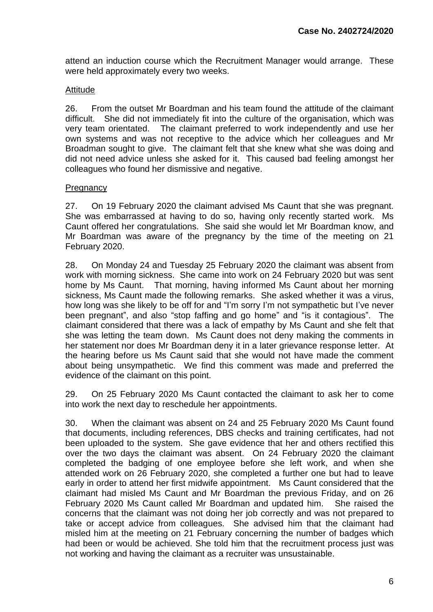attend an induction course which the Recruitment Manager would arrange. These were held approximately every two weeks.

### **Attitude**

26. From the outset Mr Boardman and his team found the attitude of the claimant difficult. She did not immediately fit into the culture of the organisation, which was very team orientated. The claimant preferred to work independently and use her own systems and was not receptive to the advice which her colleagues and Mr Broadman sought to give. The claimant felt that she knew what she was doing and did not need advice unless she asked for it. This caused bad feeling amongst her colleagues who found her dismissive and negative.

## **Pregnancy**

27. On 19 February 2020 the claimant advised Ms Caunt that she was pregnant. She was embarrassed at having to do so, having only recently started work. Ms Caunt offered her congratulations. She said she would let Mr Boardman know, and Mr Boardman was aware of the pregnancy by the time of the meeting on 21 February 2020.

28. On Monday 24 and Tuesday 25 February 2020 the claimant was absent from work with morning sickness. She came into work on 24 February 2020 but was sent home by Ms Caunt. That morning, having informed Ms Caunt about her morning sickness, Ms Caunt made the following remarks. She asked whether it was a virus, how long was she likely to be off for and "I'm sorry I'm not sympathetic but I've never been pregnant", and also "stop faffing and go home" and "is it contagious". The claimant considered that there was a lack of empathy by Ms Caunt and she felt that she was letting the team down. Ms Caunt does not deny making the comments in her statement nor does Mr Boardman deny it in a later grievance response letter. At the hearing before us Ms Caunt said that she would not have made the comment about being unsympathetic. We find this comment was made and preferred the evidence of the claimant on this point.

29. On 25 February 2020 Ms Caunt contacted the claimant to ask her to come into work the next day to reschedule her appointments.

30. When the claimant was absent on 24 and 25 February 2020 Ms Caunt found that documents, including references, DBS checks and training certificates, had not been uploaded to the system. She gave evidence that her and others rectified this over the two days the claimant was absent. On 24 February 2020 the claimant completed the badging of one employee before she left work, and when she attended work on 26 February 2020, she completed a further one but had to leave early in order to attend her first midwife appointment. Ms Caunt considered that the claimant had misled Ms Caunt and Mr Boardman the previous Friday, and on 26 February 2020 Ms Caunt called Mr Boardman and updated him. She raised the concerns that the claimant was not doing her job correctly and was not prepared to take or accept advice from colleagues. She advised him that the claimant had misled him at the meeting on 21 February concerning the number of badges which had been or would be achieved. She told him that the recruitment process just was not working and having the claimant as a recruiter was unsustainable.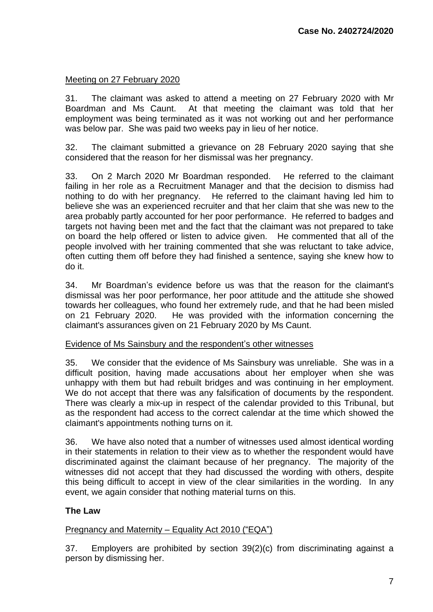## Meeting on 27 February 2020

31. The claimant was asked to attend a meeting on 27 February 2020 with Mr Boardman and Ms Caunt. At that meeting the claimant was told that her employment was being terminated as it was not working out and her performance was below par. She was paid two weeks pay in lieu of her notice.

32. The claimant submitted a grievance on 28 February 2020 saying that she considered that the reason for her dismissal was her pregnancy.

33. On 2 March 2020 Mr Boardman responded. He referred to the claimant failing in her role as a Recruitment Manager and that the decision to dismiss had nothing to do with her pregnancy. He referred to the claimant having led him to believe she was an experienced recruiter and that her claim that she was new to the area probably partly accounted for her poor performance. He referred to badges and targets not having been met and the fact that the claimant was not prepared to take on board the help offered or listen to advice given. He commented that all of the people involved with her training commented that she was reluctant to take advice, often cutting them off before they had finished a sentence, saying she knew how to do it.

34. Mr Boardman's evidence before us was that the reason for the claimant's dismissal was her poor performance, her poor attitude and the attitude she showed towards her colleagues, who found her extremely rude, and that he had been misled on 21 February 2020. He was provided with the information concerning the claimant's assurances given on 21 February 2020 by Ms Caunt.

### Evidence of Ms Sainsbury and the respondent's other witnesses

35. We consider that the evidence of Ms Sainsbury was unreliable. She was in a difficult position, having made accusations about her employer when she was unhappy with them but had rebuilt bridges and was continuing in her employment. We do not accept that there was any falsification of documents by the respondent. There was clearly a mix-up in respect of the calendar provided to this Tribunal, but as the respondent had access to the correct calendar at the time which showed the claimant's appointments nothing turns on it.

36. We have also noted that a number of witnesses used almost identical wording in their statements in relation to their view as to whether the respondent would have discriminated against the claimant because of her pregnancy. The majority of the witnesses did not accept that they had discussed the wording with others, despite this being difficult to accept in view of the clear similarities in the wording. In any event, we again consider that nothing material turns on this.

### **The Law**

### Pregnancy and Maternity – Equality Act 2010 ("EQA")

37. Employers are prohibited by section 39(2)(c) from discriminating against a person by dismissing her.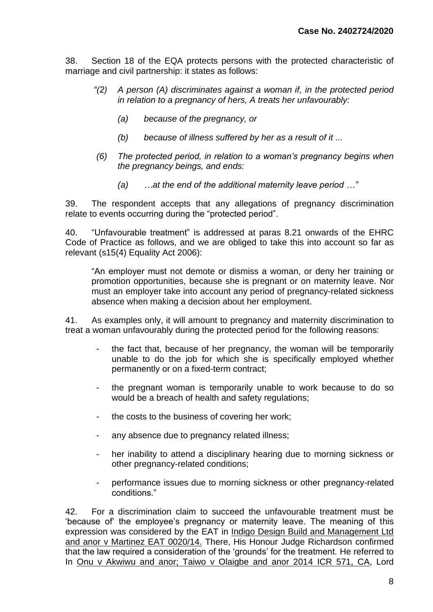38. Section 18 of the EQA protects persons with the protected characteristic of marriage and civil partnership: it states as follows:

- *"(2) A person (A) discriminates against a woman if, in the protected period in relation to a pregnancy of hers, A treats her unfavourably:*
	- *(a) because of the pregnancy, or*
	- *(b) because of illness suffered by her as a result of it ...*
- *(6) The protected period, in relation to a woman's pregnancy begins when the pregnancy beings, and ends:*
	- *(a) …at the end of the additional maternity leave period …"*

39. The respondent accepts that any allegations of pregnancy discrimination relate to events occurring during the "protected period".

40. "Unfavourable treatment" is addressed at paras 8.21 onwards of the EHRC Code of Practice as follows, and we are obliged to take this into account so far as relevant (s15(4) Equality Act 2006):

"An employer must not demote or dismiss a woman, or deny her training or promotion opportunities, because she is pregnant or on maternity leave. Nor must an employer take into account any period of pregnancy-related sickness absence when making a decision about her employment.

41. As examples only, it will amount to pregnancy and maternity discrimination to treat a woman unfavourably during the protected period for the following reasons:

- the fact that, because of her pregnancy, the woman will be temporarily unable to do the job for which she is specifically employed whether permanently or on a fixed-term contract;
- the pregnant woman is temporarily unable to work because to do so would be a breach of health and safety regulations;
- the costs to the business of covering her work;
- any absence due to pregnancy related illness;
- her inability to attend a disciplinary hearing due to morning sickness or other pregnancy-related conditions;
- performance issues due to morning sickness or other pregnancy-related conditions."

42. For a discrimination claim to succeed the unfavourable treatment must be 'because of' the employee's pregnancy or maternity leave. The meaning of this expression was considered by the EAT in Indigo Design Build and Management Ltd and anor v Martinez EAT 0020/14. There, His Honour Judge Richardson confirmed that the law required a consideration of the 'grounds' for the treatment. He referred to In Onu v Akwiwu and anor; Taiwo v Olaigbe and anor 2014 ICR 571, CA, Lord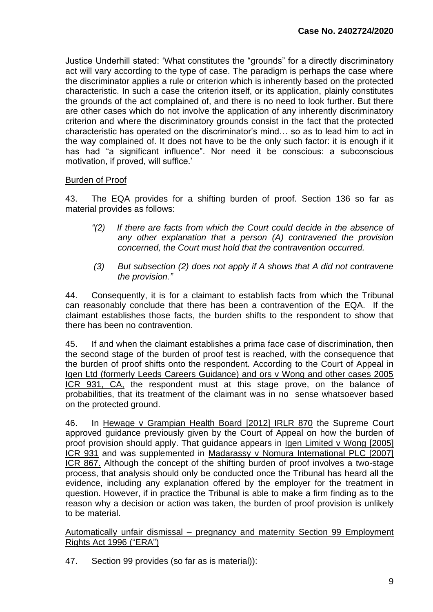Justice Underhill stated: 'What constitutes the "grounds" for a directly discriminatory act will vary according to the type of case. The paradigm is perhaps the case where the discriminator applies a rule or criterion which is inherently based on the protected characteristic. In such a case the criterion itself, or its application, plainly constitutes the grounds of the act complained of, and there is no need to look further. But there are other cases which do not involve the application of any inherently discriminatory criterion and where the discriminatory grounds consist in the fact that the protected characteristic has operated on the discriminator's mind… so as to lead him to act in the way complained of. It does not have to be the only such factor: it is enough if it has had "a significant influence". Nor need it be conscious: a subconscious motivation, if proved, will suffice.'

## Burden of Proof

43. The EQA provides for a shifting burden of proof. Section 136 so far as material provides as follows:

- *"(2) If there are facts from which the Court could decide in the absence of any other explanation that a person (A) contravened the provision concerned, the Court must hold that the contravention occurred.*
- *(3) But subsection (2) does not apply if A shows that A did not contravene the provision."*

44. Consequently, it is for a claimant to establish facts from which the Tribunal can reasonably conclude that there has been a contravention of the EQA. If the claimant establishes those facts, the burden shifts to the respondent to show that there has been no contravention.

45. If and when the claimant establishes a prima face case of discrimination, then the second stage of the burden of proof test is reached, with the consequence that the burden of proof shifts onto the respondent. According to the Court of Appeal in Igen Ltd (formerly Leeds Careers Guidance) and ors v Wong and other cases 2005 ICR 931, CA, the respondent must at this stage prove, on the balance of probabilities, that its treatment of the claimant was in no sense whatsoever based on the protected ground.

46. In Hewage v Grampian Health Board [2012] IRLR 870 the Supreme Court approved guidance previously given by the Court of Appeal on how the burden of proof provision should apply. That guidance appears in Igen Limited v Wong [2005] ICR 931 and was supplemented in Madarassy v Nomura International PLC [2007] ICR 867. Although the concept of the shifting burden of proof involves a two-stage process, that analysis should only be conducted once the Tribunal has heard all the evidence, including any explanation offered by the employer for the treatment in question. However, if in practice the Tribunal is able to make a firm finding as to the reason why a decision or action was taken, the burden of proof provision is unlikely to be material.

Automatically unfair dismissal – pregnancy and maternity Section 99 Employment Rights Act 1996 ("ERA")

47. Section 99 provides (so far as is material)):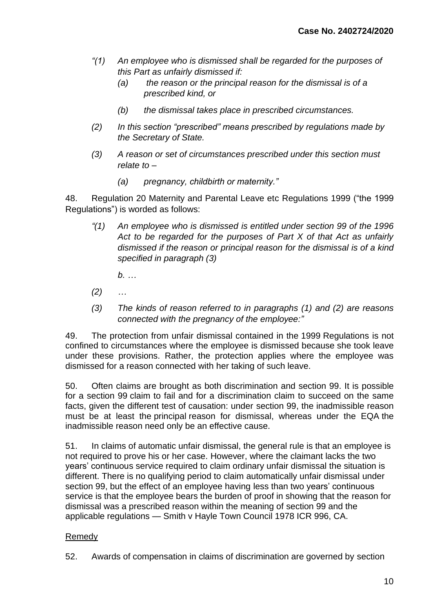- *"(1) An employee who is dismissed shall be regarded for the purposes of this Part as unfairly dismissed if:*
	- *(a) the reason or the principal reason for the dismissal is of a prescribed kind, or*
	- *(b) the dismissal takes place in prescribed circumstances.*
- *(2) In this section "prescribed" means prescribed by regulations made by the Secretary of State.*
- *(3) A reason or set of circumstances prescribed under this section must relate to –*
	- *(a) pregnancy, childbirth or maternity."*

48. Regulation 20 Maternity and Parental Leave etc Regulations 1999 ("the 1999 Regulations") is worded as follows:

*"(1) An employee who is dismissed is entitled under section 99 of the 1996 Act to be regarded for the purposes of Part X of that Act as unfairly dismissed if the reason or principal reason for the dismissal is of a kind specified in paragraph (3)*

*b. …*

- *(2) …*
- *(3) The kinds of reason referred to in paragraphs (1) and (2) are reasons connected with the pregnancy of the employee:"*

49. The protection from unfair dismissal contained in the 1999 Regulations is not confined to circumstances where the employee is dismissed because she took leave under these provisions. Rather, the protection applies where the employee was dismissed for a reason connected with her taking of such leave.

50. Often claims are brought as both discrimination and section 99. It is possible for a section 99 claim to fail and for a discrimination claim to succeed on the same facts, given the different test of causation: under section 99, the inadmissible reason must be at least the principal reason for dismissal, whereas under the EQA the inadmissible reason need only be an effective cause.

51. In claims of automatic unfair dismissal, the general rule is that an employee is not required to prove his or her case. However, where the claimant lacks the two years' continuous service required to claim ordinary unfair dismissal the situation is different. There is no qualifying period to claim automatically unfair dismissal under section 99, but the effect of an employee having less than two years' continuous service is that the employee bears the burden of proof in showing that the reason for dismissal was a prescribed reason within the meaning of section 99 and the applicable regulations — Smith v Hayle Town Council 1978 ICR 996, CA.

### Remedy

52. Awards of compensation in claims of discrimination are governed by section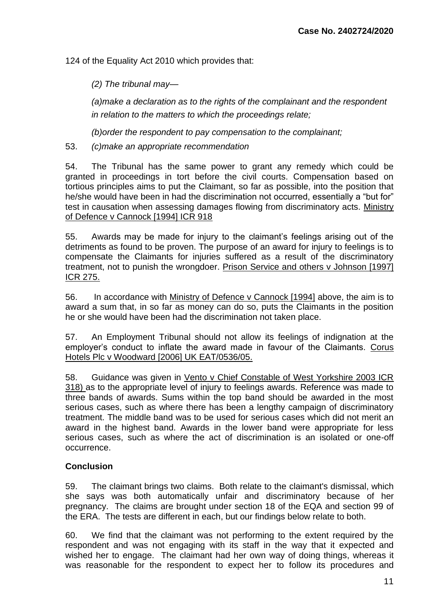124 of the Equality Act 2010 which provides that:

*(2) The tribunal may—*

*(a)make a declaration as to the rights of the complainant and the respondent in relation to the matters to which the proceedings relate;*

*(b)order the respondent to pay compensation to the complainant;*

53. *(c)make an appropriate recommendation*

54. The Tribunal has the same power to grant any remedy which could be granted in proceedings in tort before the civil courts. Compensation based on tortious principles aims to put the Claimant, so far as possible, into the position that he/she would have been in had the discrimination not occurred, essentially a "but for" test in causation when assessing damages flowing from discriminatory acts. Ministry of Defence v Cannock [1994] ICR 918

55. Awards may be made for injury to the claimant's feelings arising out of the detriments as found to be proven. The purpose of an award for injury to feelings is to compensate the Claimants for injuries suffered as a result of the discriminatory treatment, not to punish the wrongdoer. Prison Service and others v Johnson [1997] ICR 275.

56. In accordance with Ministry of Defence v Cannock [1994] above, the aim is to award a sum that, in so far as money can do so, puts the Claimants in the position he or she would have been had the discrimination not taken place.

57. An Employment Tribunal should not allow its feelings of indignation at the employer's conduct to inflate the award made in favour of the Claimants. Corus Hotels Plc v Woodward [2006] UK EAT/0536/05.

58. Guidance was given in Vento v Chief Constable of West Yorkshire 2003 ICR 318) as to the appropriate level of injury to feelings awards. Reference was made to three bands of awards. Sums within the top band should be awarded in the most serious cases, such as where there has been a lengthy campaign of discriminatory treatment. The middle band was to be used for serious cases which did not merit an award in the highest band. Awards in the lower band were appropriate for less serious cases, such as where the act of discrimination is an isolated or one-off occurrence.

# **Conclusion**

59. The claimant brings two claims. Both relate to the claimant's dismissal, which she says was both automatically unfair and discriminatory because of her pregnancy. The claims are brought under section 18 of the EQA and section 99 of the ERA. The tests are different in each, but our findings below relate to both.

60. We find that the claimant was not performing to the extent required by the respondent and was not engaging with its staff in the way that it expected and wished her to engage. The claimant had her own way of doing things, whereas it was reasonable for the respondent to expect her to follow its procedures and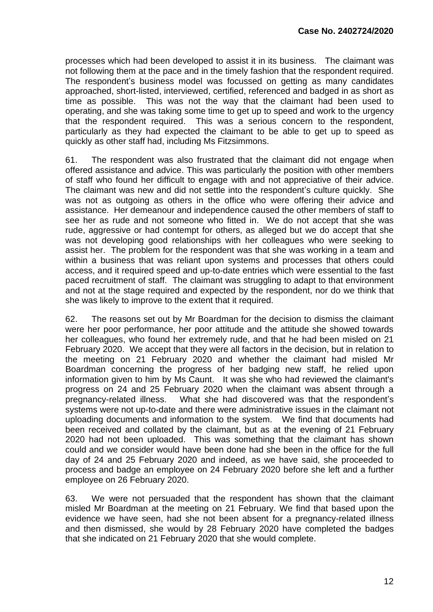processes which had been developed to assist it in its business. The claimant was not following them at the pace and in the timely fashion that the respondent required. The respondent's business model was focussed on getting as many candidates approached, short-listed, interviewed, certified, referenced and badged in as short as time as possible. This was not the way that the claimant had been used to operating, and she was taking some time to get up to speed and work to the urgency that the respondent required. This was a serious concern to the respondent, particularly as they had expected the claimant to be able to get up to speed as quickly as other staff had, including Ms Fitzsimmons.

61. The respondent was also frustrated that the claimant did not engage when offered assistance and advice. This was particularly the position with other members of staff who found her difficult to engage with and not appreciative of their advice. The claimant was new and did not settle into the respondent's culture quickly. She was not as outgoing as others in the office who were offering their advice and assistance. Her demeanour and independence caused the other members of staff to see her as rude and not someone who fitted in. We do not accept that she was rude, aggressive or had contempt for others, as alleged but we do accept that she was not developing good relationships with her colleagues who were seeking to assist her. The problem for the respondent was that she was working in a team and within a business that was reliant upon systems and processes that others could access, and it required speed and up-to-date entries which were essential to the fast paced recruitment of staff. The claimant was struggling to adapt to that environment and not at the stage required and expected by the respondent, nor do we think that she was likely to improve to the extent that it required.

62. The reasons set out by Mr Boardman for the decision to dismiss the claimant were her poor performance, her poor attitude and the attitude she showed towards her colleagues, who found her extremely rude, and that he had been misled on 21 February 2020. We accept that they were all factors in the decision, but in relation to the meeting on 21 February 2020 and whether the claimant had misled Mr Boardman concerning the progress of her badging new staff, he relied upon information given to him by Ms Caunt. It was she who had reviewed the claimant's progress on 24 and 25 February 2020 when the claimant was absent through a pregnancy-related illness. What she had discovered was that the respondent's systems were not up-to-date and there were administrative issues in the claimant not uploading documents and information to the system. We find that documents had been received and collated by the claimant, but as at the evening of 21 February 2020 had not been uploaded. This was something that the claimant has shown could and we consider would have been done had she been in the office for the full day of 24 and 25 February 2020 and indeed, as we have said, she proceeded to process and badge an employee on 24 February 2020 before she left and a further employee on 26 February 2020.

63. We were not persuaded that the respondent has shown that the claimant misled Mr Boardman at the meeting on 21 February. We find that based upon the evidence we have seen, had she not been absent for a pregnancy-related illness and then dismissed, she would by 28 February 2020 have completed the badges that she indicated on 21 February 2020 that she would complete.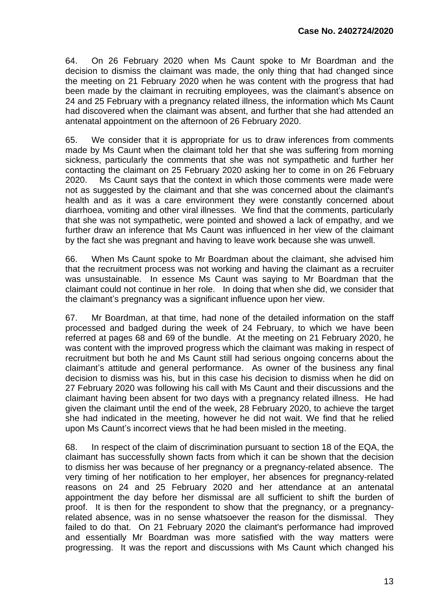64. On 26 February 2020 when Ms Caunt spoke to Mr Boardman and the decision to dismiss the claimant was made, the only thing that had changed since the meeting on 21 February 2020 when he was content with the progress that had been made by the claimant in recruiting employees, was the claimant's absence on 24 and 25 February with a pregnancy related illness, the information which Ms Caunt had discovered when the claimant was absent, and further that she had attended an antenatal appointment on the afternoon of 26 February 2020.

65. We consider that it is appropriate for us to draw inferences from comments made by Ms Caunt when the claimant told her that she was suffering from morning sickness, particularly the comments that she was not sympathetic and further her contacting the claimant on 25 February 2020 asking her to come in on 26 February 2020. Ms Caunt says that the context in which those comments were made were not as suggested by the claimant and that she was concerned about the claimant's health and as it was a care environment they were constantly concerned about diarrhoea, vomiting and other viral illnesses. We find that the comments, particularly that she was not sympathetic, were pointed and showed a lack of empathy, and we further draw an inference that Ms Caunt was influenced in her view of the claimant by the fact she was pregnant and having to leave work because she was unwell.

66. When Ms Caunt spoke to Mr Boardman about the claimant, she advised him that the recruitment process was not working and having the claimant as a recruiter was unsustainable. In essence Ms Caunt was saying to Mr Boardman that the claimant could not continue in her role. In doing that when she did, we consider that the claimant's pregnancy was a significant influence upon her view.

67. Mr Boardman, at that time, had none of the detailed information on the staff processed and badged during the week of 24 February, to which we have been referred at pages 68 and 69 of the bundle. At the meeting on 21 February 2020, he was content with the improved progress which the claimant was making in respect of recruitment but both he and Ms Caunt still had serious ongoing concerns about the claimant's attitude and general performance. As owner of the business any final decision to dismiss was his, but in this case his decision to dismiss when he did on 27 February 2020 was following his call with Ms Caunt and their discussions and the claimant having been absent for two days with a pregnancy related illness. He had given the claimant until the end of the week, 28 February 2020, to achieve the target she had indicated in the meeting, however he did not wait. We find that he relied upon Ms Caunt's incorrect views that he had been misled in the meeting.

68. In respect of the claim of discrimination pursuant to section 18 of the EQA, the claimant has successfully shown facts from which it can be shown that the decision to dismiss her was because of her pregnancy or a pregnancy-related absence. The very timing of her notification to her employer, her absences for pregnancy-related reasons on 24 and 25 February 2020 and her attendance at an antenatal appointment the day before her dismissal are all sufficient to shift the burden of proof. It is then for the respondent to show that the pregnancy, or a pregnancyrelated absence, was in no sense whatsoever the reason for the dismissal. They failed to do that. On 21 February 2020 the claimant's performance had improved and essentially Mr Boardman was more satisfied with the way matters were progressing. It was the report and discussions with Ms Caunt which changed his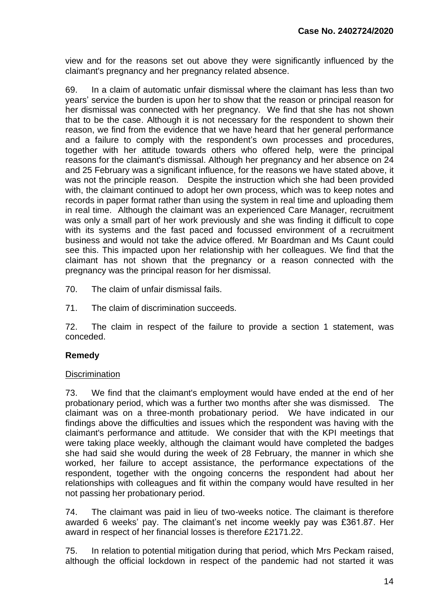view and for the reasons set out above they were significantly influenced by the claimant's pregnancy and her pregnancy related absence.

69. In a claim of automatic unfair dismissal where the claimant has less than two years' service the burden is upon her to show that the reason or principal reason for her dismissal was connected with her pregnancy. We find that she has not shown that to be the case. Although it is not necessary for the respondent to shown their reason, we find from the evidence that we have heard that her general performance and a failure to comply with the respondent's own processes and procedures, together with her attitude towards others who offered help, were the principal reasons for the claimant's dismissal. Although her pregnancy and her absence on 24 and 25 February was a significant influence, for the reasons we have stated above, it was not the principle reason. Despite the instruction which she had been provided with, the claimant continued to adopt her own process, which was to keep notes and records in paper format rather than using the system in real time and uploading them in real time. Although the claimant was an experienced Care Manager, recruitment was only a small part of her work previously and she was finding it difficult to cope with its systems and the fast paced and focussed environment of a recruitment business and would not take the advice offered. Mr Boardman and Ms Caunt could see this. This impacted upon her relationship with her colleagues. We find that the claimant has not shown that the pregnancy or a reason connected with the pregnancy was the principal reason for her dismissal.

- 70. The claim of unfair dismissal fails.
- 71. The claim of discrimination succeeds.

72. The claim in respect of the failure to provide a section 1 statement, was conceded.

# **Remedy**

### **Discrimination**

73. We find that the claimant's employment would have ended at the end of her probationary period, which was a further two months after she was dismissed. The claimant was on a three-month probationary period. We have indicated in our findings above the difficulties and issues which the respondent was having with the claimant's performance and attitude. We consider that with the KPI meetings that were taking place weekly, although the claimant would have completed the badges she had said she would during the week of 28 February, the manner in which she worked, her failure to accept assistance, the performance expectations of the respondent, together with the ongoing concerns the respondent had about her relationships with colleagues and fit within the company would have resulted in her not passing her probationary period.

74. The claimant was paid in lieu of two-weeks notice. The claimant is therefore awarded 6 weeks' pay. The claimant's net income weekly pay was £361.87. Her award in respect of her financial losses is therefore £2171.22.

75. In relation to potential mitigation during that period, which Mrs Peckam raised, although the official lockdown in respect of the pandemic had not started it was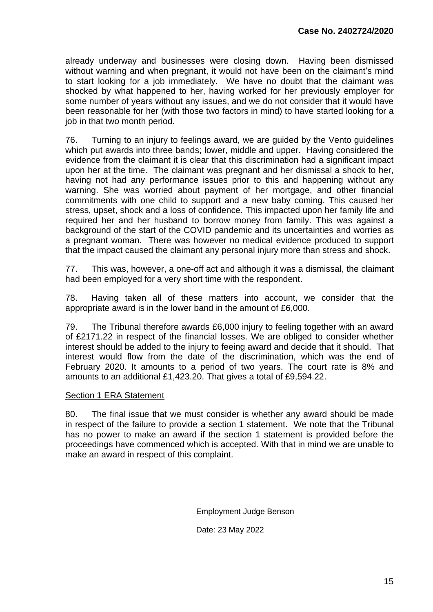already underway and businesses were closing down. Having been dismissed without warning and when pregnant, it would not have been on the claimant's mind to start looking for a job immediately. We have no doubt that the claimant was shocked by what happened to her, having worked for her previously employer for some number of years without any issues, and we do not consider that it would have been reasonable for her (with those two factors in mind) to have started looking for a job in that two month period.

76. Turning to an injury to feelings award, we are guided by the Vento guidelines which put awards into three bands; lower, middle and upper. Having considered the evidence from the claimant it is clear that this discrimination had a significant impact upon her at the time. The claimant was pregnant and her dismissal a shock to her, having not had any performance issues prior to this and happening without any warning. She was worried about payment of her mortgage, and other financial commitments with one child to support and a new baby coming. This caused her stress, upset, shock and a loss of confidence. This impacted upon her family life and required her and her husband to borrow money from family. This was against a background of the start of the COVID pandemic and its uncertainties and worries as a pregnant woman. There was however no medical evidence produced to support that the impact caused the claimant any personal injury more than stress and shock.

77. This was, however, a one-off act and although it was a dismissal, the claimant had been employed for a very short time with the respondent.

78. Having taken all of these matters into account, we consider that the appropriate award is in the lower band in the amount of £6,000.

79. The Tribunal therefore awards £6,000 injury to feeling together with an award of £2171.22 in respect of the financial losses. We are obliged to consider whether interest should be added to the injury to feeing award and decide that it should. That interest would flow from the date of the discrimination, which was the end of February 2020. It amounts to a period of two years. The court rate is 8% and amounts to an additional £1,423.20. That gives a total of £9,594.22.

### Section 1 ERA Statement

80. The final issue that we must consider is whether any award should be made in respect of the failure to provide a section 1 statement. We note that the Tribunal has no power to make an award if the section 1 statement is provided before the proceedings have commenced which is accepted. With that in mind we are unable to make an award in respect of this complaint.

Employment Judge Benson

Date: 23 May 2022